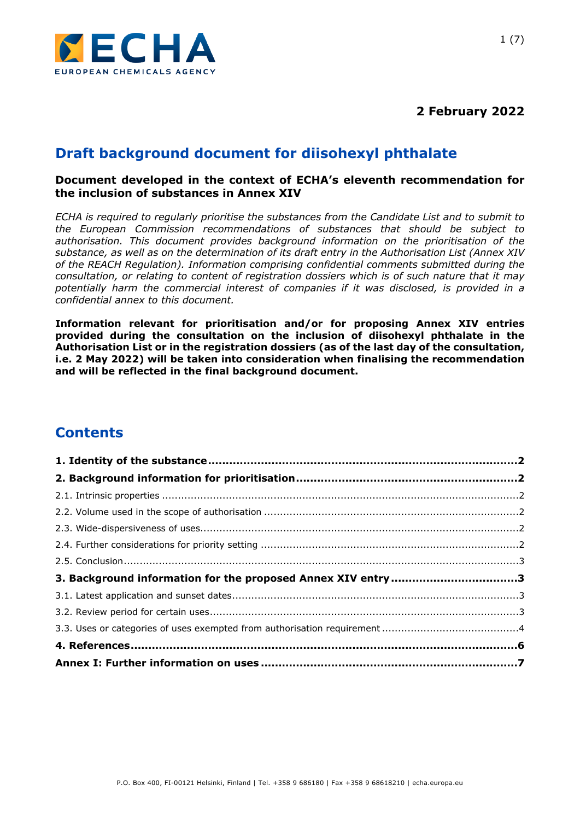

**2 February 2022**

# **Draft background document for diisohexyl phthalate**

#### **Document developed in the context of ECHA's eleventh recommendation for the inclusion of substances in Annex XIV**

*ECHA is required to regularly prioritise the substances from the Candidate List and to submit to the European Commission recommendations of substances that should be subject to authorisation. This document provides background information on the prioritisation of the substance, as well as on the determination of its draft entry in the Authorisation List (Annex XIV of the REACH Regulation). Information comprising confidential comments submitted during the consultation, or relating to content of registration dossiers which is of such nature that it may potentially harm the commercial interest of companies if it was disclosed, is provided in a confidential annex to this document.*

**Information relevant for prioritisation and/or for proposing Annex XIV entries provided during the consultation on the inclusion of diisohexyl phthalate in the Authorisation List or in the registration dossiers (as of the last day of the consultation, i.e. 2 May 2022) will be taken into consideration when finalising the recommendation and will be reflected in the final background document.**

# **Contents**

| 3. Background information for the proposed Annex XIV entry 3 |  |
|--------------------------------------------------------------|--|
|                                                              |  |
|                                                              |  |
|                                                              |  |
|                                                              |  |
|                                                              |  |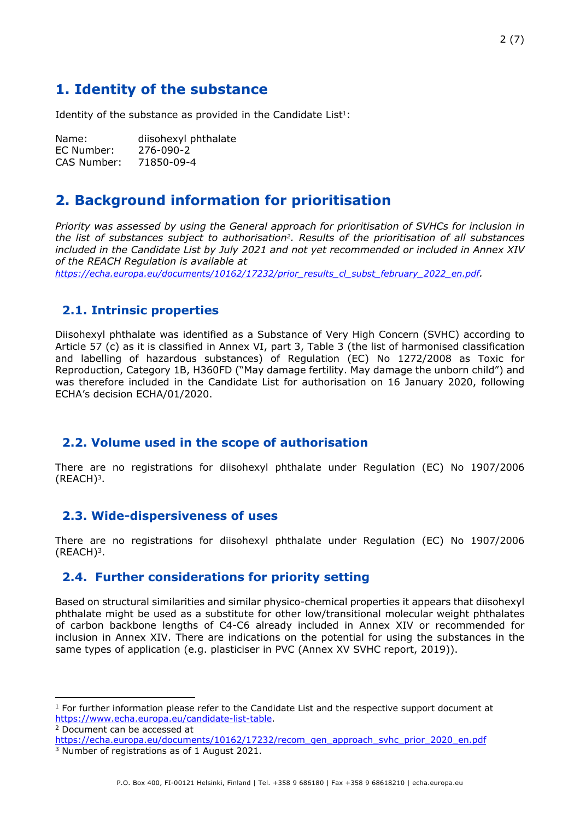# <span id="page-1-0"></span>**1. Identity of the substance**

Identity of the substance as provided in the Candidate List $1$ :

Name: diisohexyl phthalate EC Number: 276-090-2 CAS Number: 71850-09-4

## <span id="page-1-1"></span>**2. Background information for prioritisation**

*Priority was assessed by using the General approach for prioritisation of SVHCs for inclusion in the list of substances subject to authorisation2. Results of the prioritisation of all substances included in the Candidate List by July 2021 and not yet recommended or included in Annex XIV of the REACH Regulation is available at*

*[https://echa.europa.eu/documents/10162/17232/prior\\_results\\_cl\\_subst\\_february\\_2022\\_en.pdf](https://echa.europa.eu/documents/10162/17232/prior_results_cl_subst_february_2022_en.pdf).* 

## <span id="page-1-2"></span>**2.1. Intrinsic properties**

Diisohexyl phthalate was identified as a Substance of Very High Concern (SVHC) according to Article 57 (c) as it is classified in Annex VI, part 3, Table 3 (the list of harmonised classification and labelling of hazardous substances) of Regulation (EC) No 1272/2008 as Toxic for Reproduction, Category 1B, H360FD ("May damage fertility. May damage the unborn child") and was therefore included in the Candidate List for authorisation on 16 January 2020, following ECHA's decision ECHA/01/2020.

### <span id="page-1-3"></span>**2.2. Volume used in the scope of authorisation**

There are no registrations for diisohexyl phthalate under Regulation (EC) No 1907/2006 (REACH)3.

### <span id="page-1-4"></span>**2.3. Wide-dispersiveness of uses**

There are no registrations for diisohexyl phthalate under Regulation (EC) No 1907/2006  $(REACH)<sup>3</sup>$ .

### <span id="page-1-5"></span>**2.4. Further considerations for priority setting**

Based on structural similarities and similar physico-chemical properties it appears that diisohexyl phthalate might be used as a substitute for other low/transitional molecular weight phthalates of carbon backbone lengths of C4-C6 already included in Annex XIV or recommended for inclusion in Annex XIV. There are indications on the potential for using the substances in the same types of application (e.g. plasticiser in PVC (Annex XV SVHC report, 2019)).

<sup>&</sup>lt;sup>1</sup> For further information please refer to the Candidate List and the respective support document at <https://www.echa.europa.eu/candidate-list-table>.

<sup>2</sup> Document can be accessed at

[https://echa.europa.eu/documents/10162/17232/recom\\_gen\\_approach\\_svhc\\_prior\\_2020\\_en.pdf](https://echa.europa.eu/documents/10162/17232/recom_gen_approach_svhc_prior_2020_en.pdf) 3 Number of registrations as of 1 August 2021.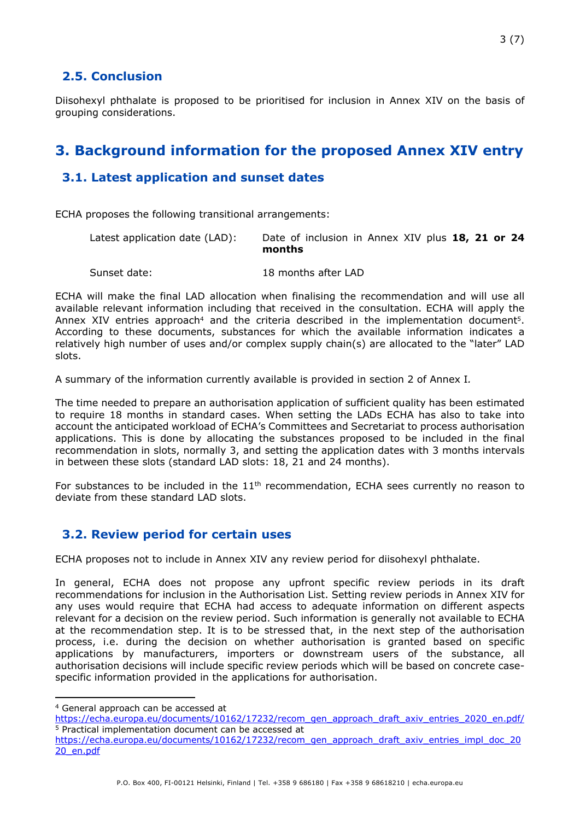## <span id="page-2-0"></span>**2.5. Conclusion**

Diisohexyl phthalate is proposed to be prioritised for inclusion in Annex XIV on the basis of grouping considerations.

# <span id="page-2-1"></span>**3. Background information for the proposed Annex XIV entry**

## <span id="page-2-2"></span>**3.1. Latest application and sunset dates**

ECHA proposes the following transitional arrangements:

| Latest application date (LAD): | Date of inclusion in Annex XIV plus 18, 21 or 24 |
|--------------------------------|--------------------------------------------------|
|                                | months                                           |
|                                |                                                  |

Sunset date: 18 months after LAD

ECHA will make the final LAD allocation when finalising the recommendation and will use all available relevant information including that received in the consultation. ECHA will apply the Annex XIV entries approach<sup>4</sup> and the criteria described in the implementation document<sup>5</sup>. According to these documents, substances for which the available information indicates a relatively high number of uses and/or complex supply chain(s) are allocated to the "later" LAD slots.

A summary of the information currently available is provided in section 2 of Annex I*.* 

The time needed to prepare an authorisation application of sufficient quality has been estimated to require 18 months in standard cases. When setting the LADs ECHA has also to take into account the anticipated workload of ECHA's Committees and Secretariat to process authorisation applications. This is done by allocating the substances proposed to be included in the final recommendation in slots, normally 3, and setting the application dates with 3 months intervals in between these slots (standard LAD slots: 18, 21 and 24 months).

For substances to be included in the  $11<sup>th</sup>$  recommendation, ECHA sees currently no reason to deviate from these standard LAD slots.

## <span id="page-2-3"></span>**3.2. Review period for certain uses**

ECHA proposes not to include in Annex XIV any review period for diisohexyl phthalate.

In general, ECHA does not propose any upfront specific review periods in its draft recommendations for inclusion in the Authorisation List. Setting review periods in Annex XIV for any uses would require that ECHA had access to adequate information on different aspects relevant for a decision on the review period. Such information is generally not available to ECHA at the recommendation step. It is to be stressed that, in the next step of the authorisation process, i.e. during the decision on whether authorisation is granted based on specific applications by manufacturers, importers or downstream users of the substance, all authorisation decisions will include specific review periods which will be based on concrete casespecific information provided in the applications for authorisation.

<sup>4</sup> General approach can be accessed at

[https://echa.europa.eu/documents/10162/17232/recom\\_gen\\_approach\\_draft\\_axiv\\_entries\\_2020\\_en.pdf/](https://echa.europa.eu/documents/10162/17232/recom_gen_approach_draft_axiv_entries_2020_en.pdf/) <sup>5</sup> Practical implementation document can be accessed at

[https://echa.europa.eu/documents/10162/17232/recom\\_gen\\_approach\\_draft\\_axiv\\_entries\\_impl\\_doc\\_20](https://echa.europa.eu/documents/10162/17232/recom_gen_approach_draft_axiv_entries_impl_doc_2020_en.pdf) [20\\_en.pdf](https://echa.europa.eu/documents/10162/17232/recom_gen_approach_draft_axiv_entries_impl_doc_2020_en.pdf)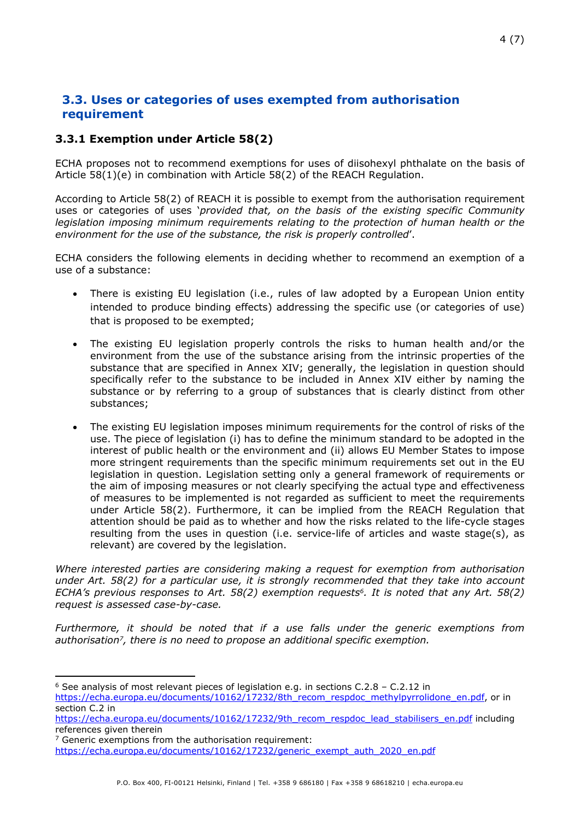## <span id="page-3-0"></span>**3.3. Uses or categories of uses exempted from authorisation requirement**

#### **3.3.1 Exemption under Article 58(2)**

ECHA proposes not to recommend exemptions for uses of diisohexyl phthalate on the basis of Article 58(1)(e) in combination with Article 58(2) of the REACH Regulation.

According to Article 58(2) of REACH it is possible to exempt from the authorisation requirement uses or categories of uses '*provided that, on the basis of the existing specific Community legislation imposing minimum requirements relating to the protection of human health or the environment for the use of the substance, the risk is properly controlled*'.

ECHA considers the following elements in deciding whether to recommend an exemption of a use of a substance:

- There is existing EU legislation (i.e., rules of law adopted by a European Union entity intended to produce binding effects) addressing the specific use (or categories of use) that is proposed to be exempted;
- The existing EU legislation properly controls the risks to human health and/or the environment from the use of the substance arising from the intrinsic properties of the substance that are specified in Annex XIV; generally, the legislation in question should specifically refer to the substance to be included in Annex XIV either by naming the substance or by referring to a group of substances that is clearly distinct from other substances;
- The existing EU legislation imposes minimum requirements for the control of risks of the use. The piece of legislation (i) has to define the minimum standard to be adopted in the interest of public health or the environment and (ii) allows EU Member States to impose more stringent requirements than the specific minimum requirements set out in the EU legislation in question. Legislation setting only a general framework of requirements or the aim of imposing measures or not clearly specifying the actual type and effectiveness of measures to be implemented is not regarded as sufficient to meet the requirements under Article 58(2). Furthermore, it can be implied from the REACH Regulation that attention should be paid as to whether and how the risks related to the life-cycle stages resulting from the uses in question (i.e. service-life of articles and waste stage(s), as relevant) are covered by the legislation.

*Where interested parties are considering making a request for exemption from authorisation under Art. 58(2) for a particular use, it is strongly recommended that they take into account ECHA's previous responses to Art. 58(2) exemption requests6. It is noted that any Art. 58(2) request is assessed case-by-case.*

*Furthermore, it should be noted that if a use falls under the generic exemptions from authorisation7, there is no need to propose an additional specific exemption.*

<sup>6</sup> See analysis of most relevant pieces of legislation e.g. in sections C.2.8 – C.2.12 in

[https://echa.europa.eu/documents/10162/17232/8th\\_recom\\_respdoc\\_methylpyrrolidone\\_en.pdf](https://echa.europa.eu/documents/10162/17232/8th_recom_respdoc_methylpyrrolidone_en.pdf), or in section C.2 in

[https://echa.europa.eu/documents/10162/17232/9th\\_recom\\_respdoc\\_lead\\_stabilisers\\_en.pdf](https://echa.europa.eu/documents/10162/17232/9th_recom_respdoc_lead_stabilisers_en.pdf) including references given therein

 $7$  Generic exemptions from the authorisation requirement:

[https://echa.europa.eu/documents/10162/17232/generic\\_exempt\\_auth\\_2020\\_en.pdf](https://echa.europa.eu/documents/10162/17232/generic_exempt_auth_2020_en.pdf)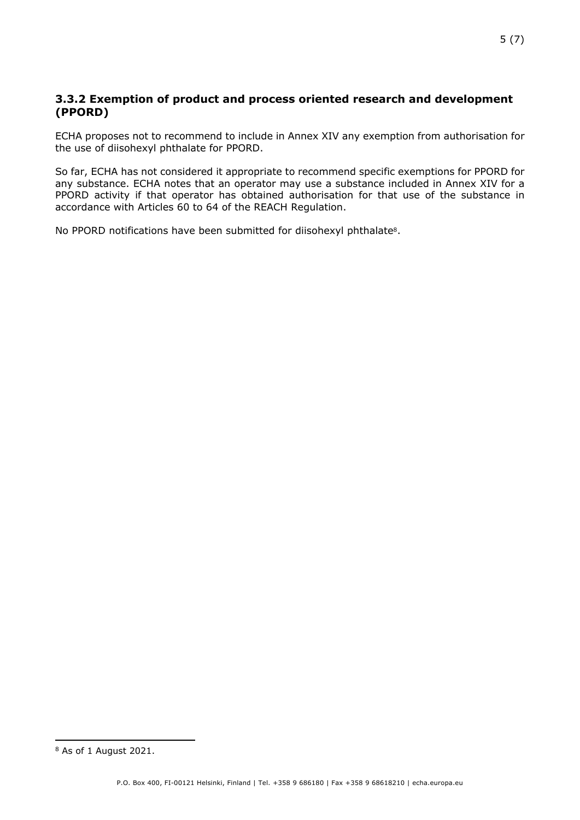#### **3.3.2 Exemption of product and process oriented research and development (PPORD)**

ECHA proposes not to recommend to include in Annex XIV any exemption from authorisation for the use of diisohexyl phthalate for PPORD.

So far, ECHA has not considered it appropriate to recommend specific exemptions for PPORD for any substance. ECHA notes that an operator may use a substance included in Annex XIV for a PPORD activity if that operator has obtained authorisation for that use of the substance in accordance with Articles 60 to 64 of the REACH Regulation.

No PPORD notifications have been submitted for diisohexyl phthalate<sup>8</sup>.

<sup>8</sup> As of 1 August 2021.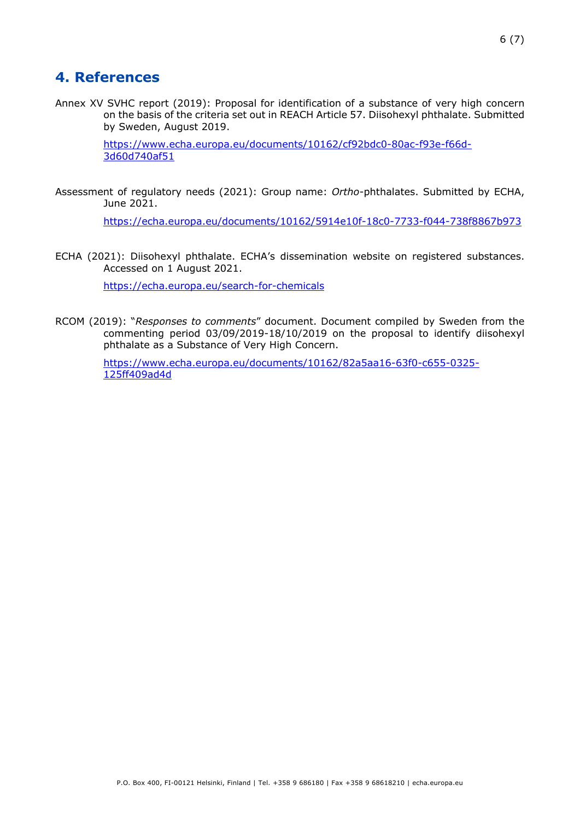## <span id="page-5-0"></span>**4. References**

Annex XV SVHC report (2019): Proposal for identification of a substance of very high concern on the basis of the criteria set out in REACH Article 57. Diisohexyl phthalate. Submitted by Sweden, August 2019.

> [https://www.echa.europa.eu/documents/10162/cf92bdc0-80ac-f93e-f66d-](https://www.echa.europa.eu/documents/10162/cf92bdc0-80ac-f93e-f66d-3d60d740af51)[3d60d740af51](https://www.echa.europa.eu/documents/10162/cf92bdc0-80ac-f93e-f66d-3d60d740af51)

Assessment of regulatory needs (2021): Group name: *Ortho*-phthalates. Submitted by ECHA, June 2021.

<https://echa.europa.eu/documents/10162/5914e10f-18c0-7733-f044-738f8867b973>

ECHA (2021): Diisohexyl phthalate. ECHA's dissemination website on registered substances. Accessed on 1 August 2021.

<https://echa.europa.eu/search-for-chemicals>

RCOM (2019): "*Responses to comments*" document. Document compiled by Sweden from the commenting period 03/09/2019-18/10/2019 on the proposal to identify diisohexyl phthalate as a Substance of Very High Concern.

> [https://www.echa.europa.eu/documents/10162/82a5aa16-63f0-c655-0325-](https://www.echa.europa.eu/documents/10162/82a5aa16-63f0-c655-0325-125ff409ad4d) [125ff409ad4d](https://www.echa.europa.eu/documents/10162/82a5aa16-63f0-c655-0325-125ff409ad4d)